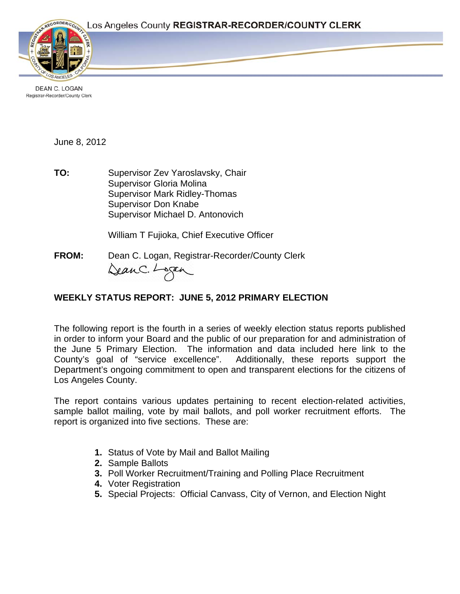

DEAN C. LOGAN Registrar-Recorder/County Clerk

June 8, 2012

**TO:** Supervisor Zev Yaroslavsky, Chair Supervisor Gloria Molina Supervisor Mark Ridley-Thomas Supervisor Don Knabe Supervisor Michael D. Antonovich

William T Fujioka, Chief Executive Officer

**FROM:** Dean C. Logan, Registrar-Recorder/County Clerk<br>Qean C. Lagan

# **WEEKLY STATUS REPORT: JUNE 5, 2012 PRIMARY ELECTION**

The following report is the fourth in a series of weekly election status reports published in order to inform your Board and the public of our preparation for and administration of the June 5 Primary Election. The information and data included here link to the County's goal of "service excellence". Additionally, these reports support the Department's ongoing commitment to open and transparent elections for the citizens of Los Angeles County.

The report contains various updates pertaining to recent election-related activities, sample ballot mailing, vote by mail ballots, and poll worker recruitment efforts. The report is organized into five sections. These are:

- **1.** Status of Vote by Mail and Ballot Mailing
- **2.** Sample Ballots
- **3.** Poll Worker Recruitment/Training and Polling Place Recruitment
- **4.** Voter Registration
- **5.** Special Projects: Official Canvass, City of Vernon, and Election Night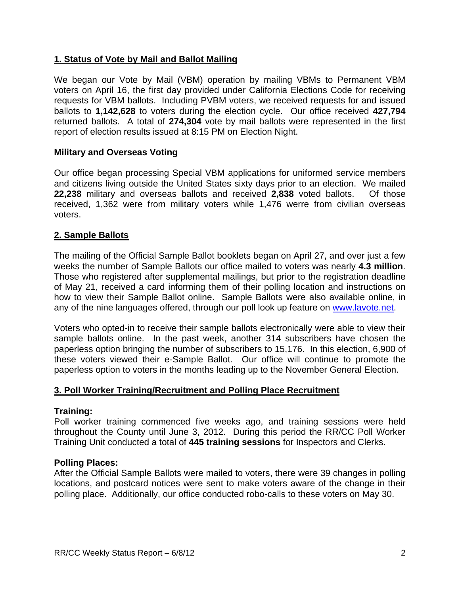# **1. Status of Vote by Mail and Ballot Mailing**

We began our Vote by Mail (VBM) operation by mailing VBMs to Permanent VBM voters on April 16, the first day provided under California Elections Code for receiving requests for VBM ballots. Including PVBM voters, we received requests for and issued ballots to **1,142,628** to voters during the election cycle. Our office received **427,794**  returned ballots. A total of **274,304** vote by mail ballots were represented in the first report of election results issued at 8:15 PM on Election Night.

## **Military and Overseas Voting**

Our office began processing Special VBM applications for uniformed service members and citizens living outside the United States sixty days prior to an election. We mailed **22,238** military and overseas ballots and received **2,838** voted ballots. Of those received, 1,362 were from military voters while 1,476 werre from civilian overseas voters.

# **2. Sample Ballots**

The mailing of the Official Sample Ballot booklets began on April 27, and over just a few weeks the number of Sample Ballots our office mailed to voters was nearly **4.3 million**. Those who registered after supplemental mailings, but prior to the registration deadline of May 21, received a card informing them of their polling location and instructions on how to view their Sample Ballot online. Sample Ballots were also available online, in any of the nine languages offered, through our poll look up feature on www.lavote.net.

Voters who opted-in to receive their sample ballots electronically were able to view their sample ballots online. In the past week, another 314 subscribers have chosen the paperless option bringing the number of subscribers to 15,176. In this election, 6,900 of these voters viewed their e-Sample Ballot. Our office will continue to promote the paperless option to voters in the months leading up to the November General Election.

## **3. Poll Worker Training/Recruitment and Polling Place Recruitment**

## **Training:**

Poll worker training commenced five weeks ago, and training sessions were held throughout the County until June 3, 2012. During this period the RR/CC Poll Worker Training Unit conducted a total of **445 training sessions** for Inspectors and Clerks.

## **Polling Places:**

After the Official Sample Ballots were mailed to voters, there were 39 changes in polling locations, and postcard notices were sent to make voters aware of the change in their polling place. Additionally, our office conducted robo-calls to these voters on May 30.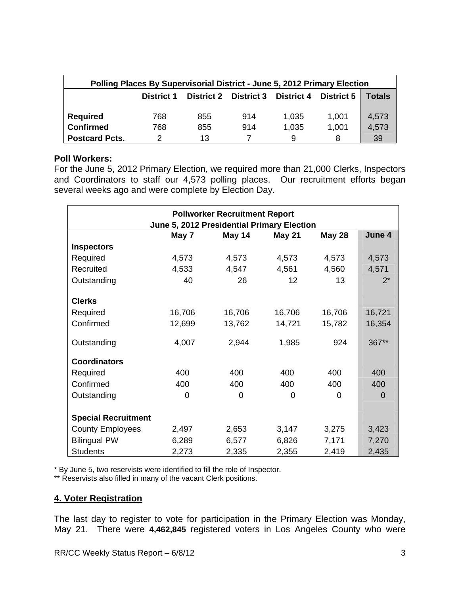| Polling Places By Supervisorial District - June 5, 2012 Primary Election |            |     |                                  |       |            |        |
|--------------------------------------------------------------------------|------------|-----|----------------------------------|-------|------------|--------|
|                                                                          | District 1 |     | District 2 District 3 District 4 |       | District 5 | Totals |
| <b>Required</b>                                                          | 768        | 855 | 914                              | 1,035 | 1,001      | 4,573  |
| <b>Confirmed</b>                                                         | 768        | 855 | 914                              | 1,035 | 1.001      | 4,573  |
| <b>Postcard Pcts.</b>                                                    | າ          | 13  |                                  | 9     | 8          | 39     |

#### **Poll Workers:**

For the June 5, 2012 Primary Election, we required more than 21,000 Clerks, Inspectors and Coordinators to staff our 4,573 polling places. Our recruitment efforts began several weeks ago and were complete by Election Day.

| <b>Pollworker Recruitment Report</b><br>June 5, 2012 Presidential Primary Election |        |        |               |               |          |  |
|------------------------------------------------------------------------------------|--------|--------|---------------|---------------|----------|--|
|                                                                                    | May 7  | May 14 | <b>May 21</b> | <b>May 28</b> | June 4   |  |
| <b>Inspectors</b>                                                                  |        |        |               |               |          |  |
| Required                                                                           | 4,573  | 4,573  | 4,573         | 4,573         | 4,573    |  |
| Recruited                                                                          | 4,533  | 4,547  | 4,561         | 4,560         | 4,571    |  |
| Outstanding                                                                        | 40     | 26     | 12            | 13            | $2^*$    |  |
| <b>Clerks</b>                                                                      |        |        |               |               |          |  |
| Required                                                                           | 16,706 | 16,706 | 16,706        | 16,706        | 16,721   |  |
| Confirmed                                                                          | 12,699 | 13,762 | 14,721        | 15,782        | 16,354   |  |
| Outstanding                                                                        | 4,007  | 2,944  | 1,985         | 924           | 367**    |  |
| <b>Coordinators</b>                                                                |        |        |               |               |          |  |
| Required                                                                           | 400    | 400    | 400           | 400           | 400      |  |
| Confirmed                                                                          | 400    | 400    | 400           | 400           | 400      |  |
| Outstanding                                                                        | 0      | 0      | 0             | 0             | $\Omega$ |  |
| <b>Special Recruitment</b>                                                         |        |        |               |               |          |  |
| <b>County Employees</b>                                                            | 2,497  | 2,653  | 3,147         | 3,275         | 3,423    |  |
| <b>Bilingual PW</b>                                                                | 6,289  | 6,577  | 6,826         | 7,171         | 7,270    |  |
| <b>Students</b>                                                                    | 2,273  | 2,335  | 2,355         | 2,419         | 2,435    |  |

\* By June 5, two reservists were identified to fill the role of Inspector.

\*\* Reservists also filled in many of the vacant Clerk positions.

# **4. Voter Registration**

The last day to register to vote for participation in the Primary Election was Monday, May 21. There were **4,462,845** registered voters in Los Angeles County who were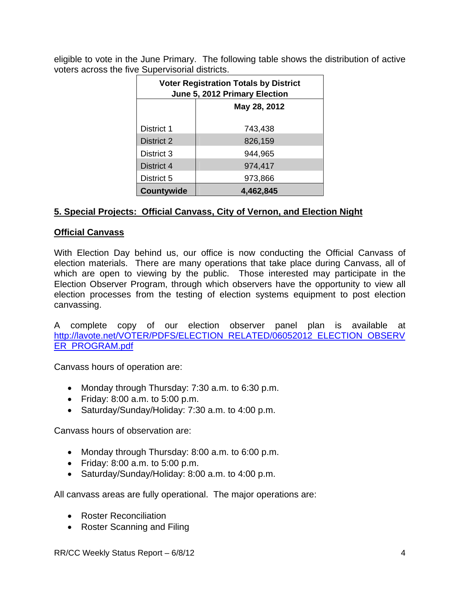eligible to vote in the June Primary. The following table shows the distribution of active voters across the five Supervisorial districts.

| <b>Voter Registration Totals by District</b><br>June 5, 2012 Primary Election |              |  |  |  |
|-------------------------------------------------------------------------------|--------------|--|--|--|
|                                                                               | May 28, 2012 |  |  |  |
| District 1                                                                    | 743,438      |  |  |  |
| District 2                                                                    | 826,159      |  |  |  |
| District 3                                                                    | 944,965      |  |  |  |
| District 4                                                                    | 974,417      |  |  |  |
| District 5                                                                    | 973,866      |  |  |  |
| Countywide                                                                    | 4,462,845    |  |  |  |

# **5. Special Projects: Official Canvass, City of Vernon, and Election Night**

# **Official Canvass**

With Election Day behind us, our office is now conducting the Official Canvass of election materials. There are many operations that take place during Canvass, all of which are open to viewing by the public. Those interested may participate in the Election Observer Program, through which observers have the opportunity to view all election processes from the testing of election systems equipment to post election canvassing.

A complete copy of our election observer panel plan is available at http://lavote.net/VOTER/PDFS/ELECTION\_RELATED/06052012\_ELECTION\_OBSERV ER\_PROGRAM.pdf

Canvass hours of operation are:

- Monday through Thursday: 7:30 a.m. to 6:30 p.m.
- Friday: 8:00 a.m. to 5:00 p.m.
- Saturday/Sunday/Holiday: 7:30 a.m. to 4:00 p.m.

Canvass hours of observation are:

- Monday through Thursday: 8:00 a.m. to 6:00 p.m.
- Friday: 8:00 a.m. to 5:00 p.m.
- Saturday/Sunday/Holiday: 8:00 a.m. to 4:00 p.m.

All canvass areas are fully operational. The major operations are:

- Roster Reconciliation
- Roster Scanning and Filing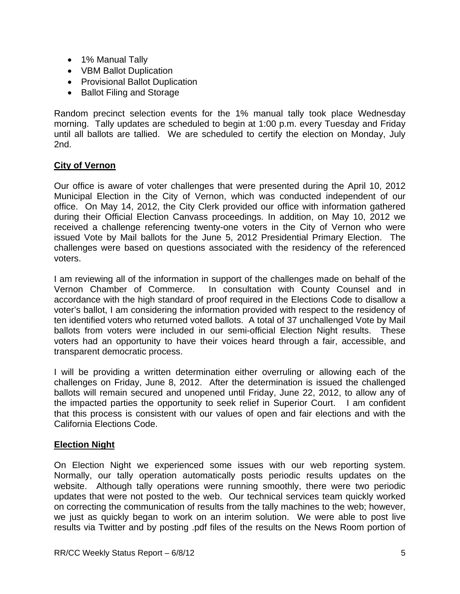- 1% Manual Tally
- VBM Ballot Duplication
- Provisional Ballot Duplication
- Ballot Filing and Storage

Random precinct selection events for the 1% manual tally took place Wednesday morning. Tally updates are scheduled to begin at 1:00 p.m. every Tuesday and Friday until all ballots are tallied. We are scheduled to certify the election on Monday, July 2nd.

# **City of Vernon**

Our office is aware of voter challenges that were presented during the April 10, 2012 Municipal Election in the City of Vernon, which was conducted independent of our office. On May 14, 2012, the City Clerk provided our office with information gathered during their Official Election Canvass proceedings. In addition, on May 10, 2012 we received a challenge referencing twenty-one voters in the City of Vernon who were issued Vote by Mail ballots for the June 5, 2012 Presidential Primary Election. The challenges were based on questions associated with the residency of the referenced voters.

I am reviewing all of the information in support of the challenges made on behalf of the Vernon Chamber of Commerce. In consultation with County Counsel and in accordance with the high standard of proof required in the Elections Code to disallow a voter's ballot, I am considering the information provided with respect to the residency of ten identified voters who returned voted ballots. A total of 37 unchallenged Vote by Mail ballots from voters were included in our semi-official Election Night results. These voters had an opportunity to have their voices heard through a fair, accessible, and transparent democratic process.

I will be providing a written determination either overruling or allowing each of the challenges on Friday, June 8, 2012. After the determination is issued the challenged ballots will remain secured and unopened until Friday, June 22, 2012, to allow any of the impacted parties the opportunity to seek relief in Superior Court. I am confident that this process is consistent with our values of open and fair elections and with the California Elections Code.

# **Election Night**

On Election Night we experienced some issues with our web reporting system. Normally, our tally operation automatically posts periodic results updates on the website. Although tally operations were running smoothly, there were two periodic updates that were not posted to the web. Our technical services team quickly worked on correcting the communication of results from the tally machines to the web; however, we just as quickly began to work on an interim solution. We were able to post live results via Twitter and by posting .pdf files of the results on the News Room portion of